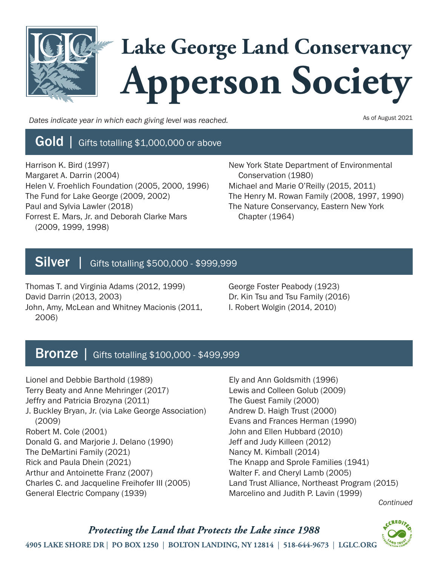

*Dates indicate year in which each giving level was reached.*

As of August 2021

## Gold | Gifts totalling \$1,000,000 or above

Harrison K. Bird (1997) Margaret A. Darrin (2004) Helen V. Froehlich Foundation (2005, 2000, 1996) The Fund for Lake George (2009, 2002) Paul and Sylvia Lawler (2018) Forrest E. Mars, Jr. and Deborah Clarke Mars (2009, 1999, 1998)

New York State Department of Environmental Conservation (1980) Michael and Marie O'Reilly (2015, 2011) The Henry M. Rowan Family (2008, 1997, 1990) The Nature Conservancy, Eastern New York Chapter (1964)

# Silver | Gifts totalling \$500,000 - \$999,999

Thomas T. and Virginia Adams (2012, 1999) David Darrin (2013, 2003) John, Amy, McLean and Whitney Macionis (2011, 2006)

George Foster Peabody (1923) Dr. Kin Tsu and Tsu Family (2016) I. Robert Wolgin (2014, 2010)

## Bronze | Gifts totalling \$100,000 - \$499,999

Lionel and Debbie Barthold (1989) Terry Beaty and Anne Mehringer (2017) Jeffry and Patricia Brozyna (2011) J. Buckley Bryan, Jr. (via Lake George Association) (2009) Robert M. Cole (2001) Donald G. and Marjorie J. Delano (1990) The DeMartini Family (2021) Rick and Paula Dhein (2021) Arthur and Antoinette Franz (2007) Charles C. and Jacqueline Freihofer III (2005) General Electric Company (1939)

Ely and Ann Goldsmith (1996) Lewis and Colleen Golub (2009) The Guest Family (2000) Andrew D. Haigh Trust (2000) Evans and Frances Herman (1990) John and Ellen Hubbard (2010) Jeff and Judy Killeen (2012) Nancy M. Kimball (2014) The Knapp and Sprole Families (1941) Walter F. and Cheryl Lamb (2005) Land Trust Alliance, Northeast Program (2015) Marcelino and Judith P. Lavin (1999)

*Continued*

Protecting the Land that Protects the Lake since 1988 4905 LAKE SHORE DR | PO BOX 1250 | BOLTON LANDING, NY 12814 | 518-644-9673 | LGLC.ORG